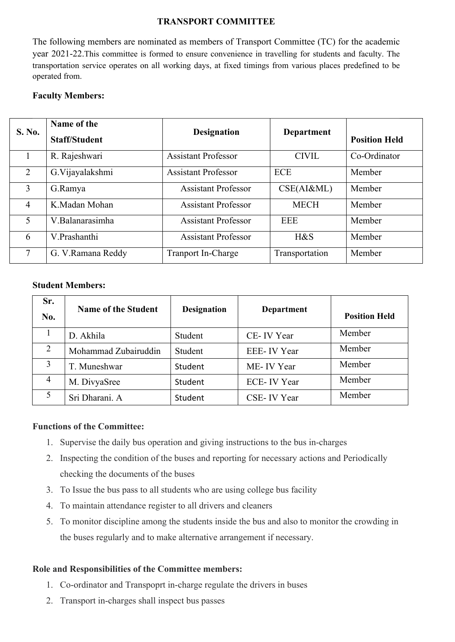### **TRANSPORT COMMITTEE**

The following members are nominated as members of Transport Committee (TC) for the academic year 2021-22.This committee is formed to ensure convenience in travelling for students and faculty. The transportation service operates on all working days, at fixed timings from various places predefined to be operated from.

# **Faculty Members:**

|                | Name of the          |                            |                   |                      |
|----------------|----------------------|----------------------------|-------------------|----------------------|
| <b>S. No.</b>  | <b>Staff/Student</b> | <b>Designation</b>         | <b>Department</b> | <b>Position Held</b> |
|                | R. Rajeshwari        | <b>Assistant Professor</b> | <b>CIVIL</b>      | Co-Ordinator         |
| 2              | G. Vijayalakshmi     | <b>Assistant Professor</b> | <b>ECE</b>        | Member               |
| 3              | G.Ramya              | <b>Assistant Professor</b> | CSE(AI&ML)        | Member               |
| $\overline{4}$ | K.Madan Mohan        | <b>Assistant Professor</b> | <b>MECH</b>       | Member               |
| 5              | V.Balanarasimha      | <b>Assistant Professor</b> | <b>EEE</b>        | Member               |
| 6              | V.Prashanthi         | <b>Assistant Professor</b> | H&S               | Member               |
| 7              | G. V.Ramana Reddy    | <b>Tranport In-Charge</b>  | Transportation    | Member               |

## **Student Members:**

| Sr.<br>No.     | <b>Name of the Student</b> | <b>Designation</b> | <b>Department</b> | <b>Position Held</b> |
|----------------|----------------------------|--------------------|-------------------|----------------------|
|                | D. Akhila                  | Student            | CE-IV Year        | Member               |
| 2              | Mohammad Zubairuddin       | Student            | EEE-IV Year       | Member               |
| 3              | T. Muneshwar               | Student            | ME-IV Year        | Member               |
| $\overline{4}$ | M. DivyaSree               | Student            | ECE-IV Year       | Member               |
|                | Sri Dharani. A             | Student            | CSE-IV Year       | Member               |

## **Functions of the Committee:**

- 1. Supervise the daily bus operation and giving instructions to the bus in-charges
- 2. Inspecting the condition of the buses and reporting for necessary actions and Periodically checking the documents of the buses
- 3. To Issue the bus pass to all students who are using college bus facility
- 4. To maintain attendance register to all drivers and cleaners
- 5. To monitor discipline among the students inside the bus and also to monitor the crowding in the buses regularly and to make alternative arrangement if necessary.

## **Role and Responsibilities of the Committee members:**

- 1. Co-ordinator and Transpoprt in-charge regulate the drivers in buses
- 2. Transport in-charges shall inspect bus passes